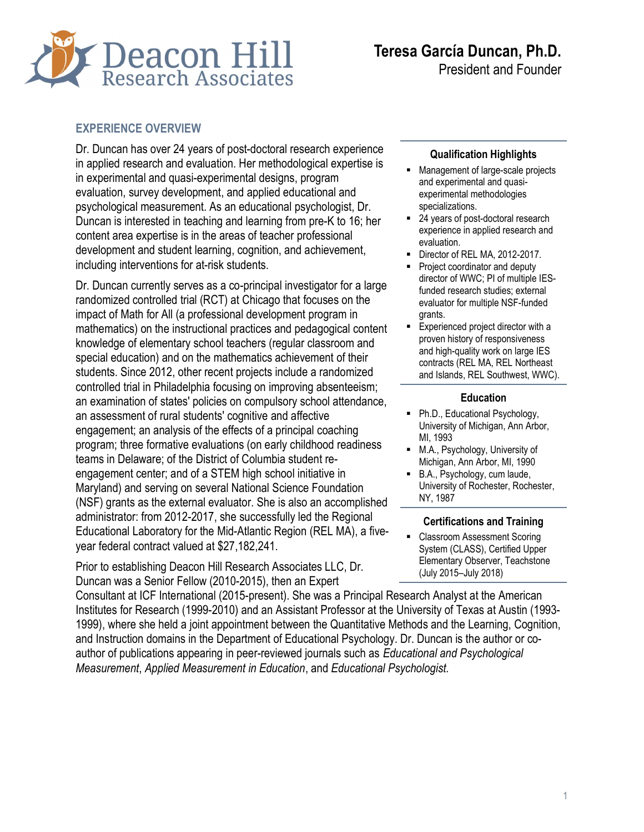

President and Founder

### EXPERIENCE OVERVIEW

Dr. Duncan has over 24 years of post-doctoral research experience in applied research and evaluation. Her methodological expertise is in experimental and quasi-experimental designs, program evaluation, survey development, and applied educational and psychological measurement. As an educational psychologist, Dr. Duncan is interested in teaching and learning from pre-K to 16; her content area expertise is in the areas of teacher professional development and student learning, cognition, and achievement, including interventions for at-risk students.

Dr. Duncan currently serves as a co-principal investigator for a large randomized controlled trial (RCT) at Chicago that focuses on the impact of Math for All (a professional development program in mathematics) on the instructional practices and pedagogical content knowledge of elementary school teachers (regular classroom and special education) and on the mathematics achievement of their students. Since 2012, other recent projects include a randomized controlled trial in Philadelphia focusing on improving absenteeism; an examination of states' policies on compulsory school attendance, an assessment of rural students' cognitive and affective engagement; an analysis of the effects of a principal coaching program; three formative evaluations (on early childhood readiness teams in Delaware; of the District of Columbia student reengagement center; and of a STEM high school initiative in Maryland) and serving on several National Science Foundation (NSF) grants as the external evaluator. She is also an accomplished administrator: from 2012-2017, she successfully led the Regional Educational Laboratory for the Mid-Atlantic Region (REL MA), a fiveyear federal contract valued at \$27,182,241.

Prior to establishing Deacon Hill Research Associates LLC, Dr. Duncan was a Senior Fellow (2010-2015), then an Expert

#### Qualification Highlights

- **Management of large-scale projects** and experimental and quasiexperimental methodologies specializations.
- 24 years of post-doctoral research experience in applied research and evaluation.
- Director of REL MA, 2012-2017.
- Project coordinator and deputy director of WWC; PI of multiple IESfunded research studies; external evaluator for multiple NSF-funded grants.
- **Experienced project director with a** proven history of responsiveness and high-quality work on large IES contracts (REL MA, REL Northeast and Islands, REL Southwest, WWC).

#### Education

- Ph.D., Educational Psychology, University of Michigan, Ann Arbor, MI, 1993
- M.A., Psychology, University of Michigan, Ann Arbor, MI, 1990
- B.A., Psychology, cum laude, University of Rochester, Rochester, NY, 1987

#### Certifications and Training

• Classroom Assessment Scoring System (CLASS), Certified Upper Elementary Observer, Teachstone (July 2015–July 2018)

Consultant at ICF International (2015-present). She was a Principal Research Analyst at the American Institutes for Research (1999-2010) and an Assistant Professor at the University of Texas at Austin (1993- 1999), where she held a joint appointment between the Quantitative Methods and the Learning, Cognition, and Instruction domains in the Department of Educational Psychology. Dr. Duncan is the author or coauthor of publications appearing in peer-reviewed journals such as Educational and Psychological Measurement, Applied Measurement in Education, and Educational Psychologist.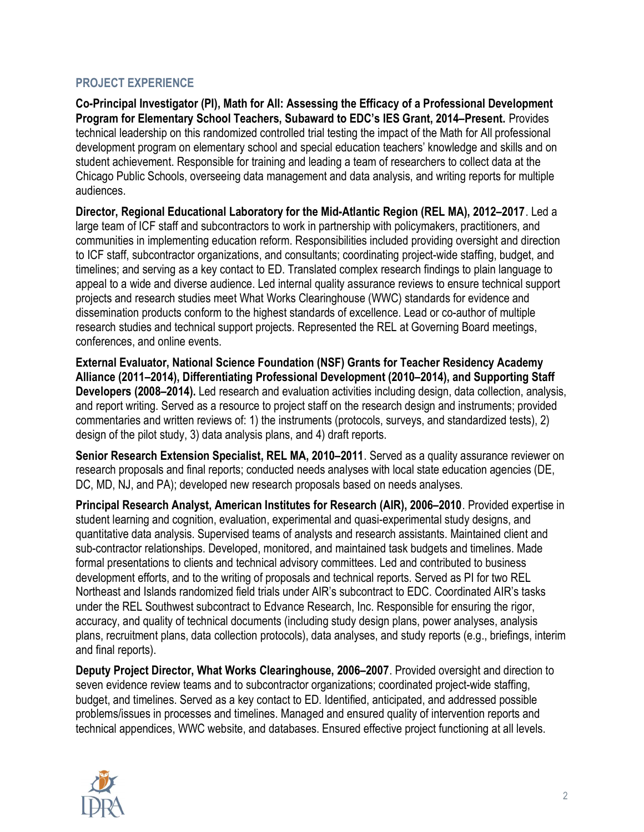## PROJECT EXPERIENCE

Co-Principal Investigator (PI), Math for All: Assessing the Efficacy of a Professional Development Program for Elementary School Teachers, Subaward to EDC's IES Grant, 2014–Present. Provides technical leadership on this randomized controlled trial testing the impact of the Math for All professional development program on elementary school and special education teachers' knowledge and skills and on student achievement. Responsible for training and leading a team of researchers to collect data at the Chicago Public Schools, overseeing data management and data analysis, and writing reports for multiple audiences.

Director, Regional Educational Laboratory for the Mid-Atlantic Region (REL MA), 2012–2017. Led a large team of ICF staff and subcontractors to work in partnership with policymakers, practitioners, and communities in implementing education reform. Responsibilities included providing oversight and direction to ICF staff, subcontractor organizations, and consultants; coordinating project-wide staffing, budget, and timelines; and serving as a key contact to ED. Translated complex research findings to plain language to appeal to a wide and diverse audience. Led internal quality assurance reviews to ensure technical support projects and research studies meet What Works Clearinghouse (WWC) standards for evidence and dissemination products conform to the highest standards of excellence. Lead or co-author of multiple research studies and technical support projects. Represented the REL at Governing Board meetings, conferences, and online events.

External Evaluator, National Science Foundation (NSF) Grants for Teacher Residency Academy Alliance (2011–2014), Differentiating Professional Development (2010–2014), and Supporting Staff Developers (2008–2014). Led research and evaluation activities including design, data collection, analysis, and report writing. Served as a resource to project staff on the research design and instruments; provided commentaries and written reviews of: 1) the instruments (protocols, surveys, and standardized tests), 2) design of the pilot study, 3) data analysis plans, and 4) draft reports.

Senior Research Extension Specialist, REL MA, 2010–2011. Served as a quality assurance reviewer on research proposals and final reports; conducted needs analyses with local state education agencies (DE, DC, MD, NJ, and PA); developed new research proposals based on needs analyses.

Principal Research Analyst, American Institutes for Research (AIR), 2006–2010. Provided expertise in student learning and cognition, evaluation, experimental and quasi-experimental study designs, and quantitative data analysis. Supervised teams of analysts and research assistants. Maintained client and sub-contractor relationships. Developed, monitored, and maintained task budgets and timelines. Made formal presentations to clients and technical advisory committees. Led and contributed to business development efforts, and to the writing of proposals and technical reports. Served as PI for two REL Northeast and Islands randomized field trials under AIR's subcontract to EDC. Coordinated AIR's tasks under the REL Southwest subcontract to Edvance Research, Inc. Responsible for ensuring the rigor, accuracy, and quality of technical documents (including study design plans, power analyses, analysis plans, recruitment plans, data collection protocols), data analyses, and study reports (e.g., briefings, interim and final reports).

Deputy Project Director, What Works Clearinghouse, 2006–2007. Provided oversight and direction to seven evidence review teams and to subcontractor organizations; coordinated project-wide staffing, budget, and timelines. Served as a key contact to ED. Identified, anticipated, and addressed possible problems/issues in processes and timelines. Managed and ensured quality of intervention reports and technical appendices, WWC website, and databases. Ensured effective project functioning at all levels.

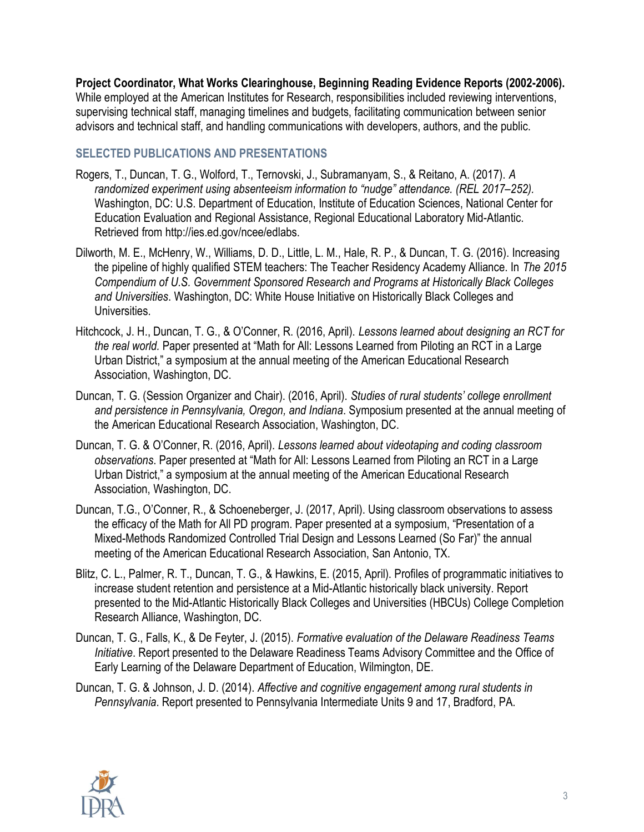Project Coordinator, What Works Clearinghouse, Beginning Reading Evidence Reports (2002-2006). While employed at the American Institutes for Research, responsibilities included reviewing interventions, supervising technical staff, managing timelines and budgets, facilitating communication between senior advisors and technical staff, and handling communications with developers, authors, and the public.

# SELECTED PUBLICATIONS AND PRESENTATIONS

- Rogers, T., Duncan, T. G., Wolford, T., Ternovski, J., Subramanyam, S., & Reitano, A. (2017). A randomized experiment using absenteeism information to "nudge" attendance. (REL 2017–252). Washington, DC: U.S. Department of Education, Institute of Education Sciences, National Center for Education Evaluation and Regional Assistance, Regional Educational Laboratory Mid-Atlantic. Retrieved from http://ies.ed.gov/ncee/edlabs.
- Dilworth, M. E., McHenry, W., Williams, D. D., Little, L. M., Hale, R. P., & Duncan, T. G. (2016). Increasing the pipeline of highly qualified STEM teachers: The Teacher Residency Academy Alliance. In The 2015 Compendium of U.S. Government Sponsored Research and Programs at Historically Black Colleges and Universities. Washington, DC: White House Initiative on Historically Black Colleges and Universities.
- Hitchcock, J. H., Duncan, T. G., & O'Conner, R. (2016, April). Lessons learned about designing an RCT for the real world. Paper presented at "Math for All: Lessons Learned from Piloting an RCT in a Large Urban District," a symposium at the annual meeting of the American Educational Research Association, Washington, DC.
- Duncan, T. G. (Session Organizer and Chair). (2016, April). Studies of rural students' college enrollment and persistence in Pennsylvania, Oregon, and Indiana. Symposium presented at the annual meeting of the American Educational Research Association, Washington, DC.
- Duncan, T. G. & O'Conner, R. (2016, April). Lessons learned about videotaping and coding classroom observations. Paper presented at "Math for All: Lessons Learned from Piloting an RCT in a Large Urban District," a symposium at the annual meeting of the American Educational Research Association, Washington, DC.
- Duncan, T.G., O'Conner, R., & Schoeneberger, J. (2017, April). Using classroom observations to assess the efficacy of the Math for All PD program. Paper presented at a symposium, "Presentation of a Mixed-Methods Randomized Controlled Trial Design and Lessons Learned (So Far)" the annual meeting of the American Educational Research Association, San Antonio, TX.
- Blitz, C. L., Palmer, R. T., Duncan, T. G., & Hawkins, E. (2015, April). Profiles of programmatic initiatives to increase student retention and persistence at a Mid-Atlantic historically black university. Report presented to the Mid-Atlantic Historically Black Colleges and Universities (HBCUs) College Completion Research Alliance, Washington, DC.
- Duncan, T. G., Falls, K., & De Feyter, J. (2015). Formative evaluation of the Delaware Readiness Teams Initiative. Report presented to the Delaware Readiness Teams Advisory Committee and the Office of Early Learning of the Delaware Department of Education, Wilmington, DE.
- Duncan, T. G. & Johnson, J. D. (2014). Affective and cognitive engagement among rural students in Pennsylvania. Report presented to Pennsylvania Intermediate Units 9 and 17, Bradford, PA.